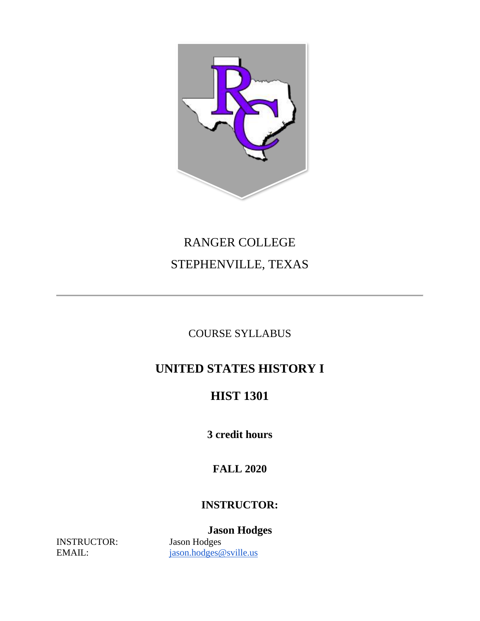

# RANGER COLLEGE STEPHENVILLE, TEXAS

## COURSE SYLLABUS

# **UNITED STATES HISTORY I**

# **HIST 1301**

**3 credit hours**

## **FALL 2020**

### **INSTRUCTOR:**

INSTRUCTOR:

**Jason Hodges** EMAIL: [jason.hodges@sville.us](mailto:jason.hodges@sville.us)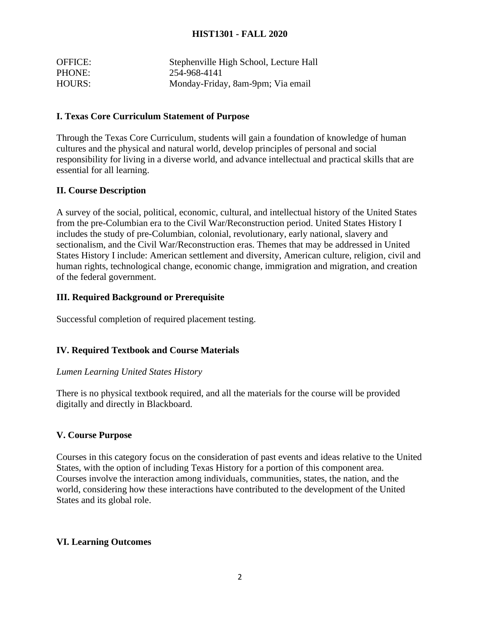#### **HIST1301 - FALL 2020**

| <b>OFFICE:</b> | Stephenville High School, Lecture Hall |
|----------------|----------------------------------------|
| PHONE:         | 254-968-4141                           |
| HOURS:         | Monday-Friday, 8am-9pm; Via email      |

#### **I. Texas Core Curriculum Statement of Purpose**

Through the Texas Core Curriculum, students will gain a foundation of knowledge of human cultures and the physical and natural world, develop principles of personal and social responsibility for living in a diverse world, and advance intellectual and practical skills that are essential for all learning.

#### **II. Course Description**

A survey of the social, political, economic, cultural, and intellectual history of the United States from the pre-Columbian era to the Civil War/Reconstruction period. United States History I includes the study of pre-Columbian, colonial, revolutionary, early national, slavery and sectionalism, and the Civil War/Reconstruction eras. Themes that may be addressed in United States History I include: American settlement and diversity, American culture, religion, civil and human rights, technological change, economic change, immigration and migration, and creation of the federal government.

#### **III. Required Background or Prerequisite**

Successful completion of required placement testing.

#### **IV. Required Textbook and Course Materials**

#### *Lumen Learning United States History*

There is no physical textbook required, and all the materials for the course will be provided digitally and directly in Blackboard.

#### **V. Course Purpose**

Courses in this category focus on the consideration of past events and ideas relative to the United States, with the option of including Texas History for a portion of this component area. Courses involve the interaction among individuals, communities, states, the nation, and the world, considering how these interactions have contributed to the development of the United States and its global role.

#### **VI. Learning Outcomes**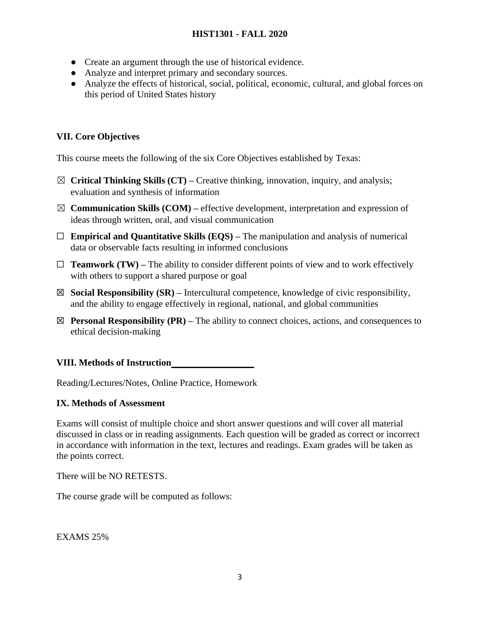#### **HIST1301 - FALL 2020**

- Create an argument through the use of historical evidence.
- Analyze and interpret primary and secondary sources.
- Analyze the effects of historical, social, political, economic, cultural, and global forces on this period of United States history

#### **VII. Core Objectives**

This course meets the following of the six Core Objectives established by Texas:

- ☒ **Critical Thinking Skills (CT) –** Creative thinking, innovation, inquiry, and analysis; evaluation and synthesis of information
- $\boxtimes$  **Communication Skills (COM)** effective development, interpretation and expression of ideas through written, oral, and visual communication
- ☐ **Empirical and Quantitative Skills (EQS) –** The manipulation and analysis of numerical data or observable facts resulting in informed conclusions
- $\Box$  **Teamwork (TW)** The ability to consider different points of view and to work effectively with others to support a shared purpose or goal
- ☒ **Social Responsibility (SR) –** Intercultural competence, knowledge of civic responsibility, and the ability to engage effectively in regional, national, and global communities
- $\boxtimes$  **Personal Responsibility (PR)** The ability to connect choices, actions, and consequences to ethical decision-making

**VIII. Methods of Instruction**

Reading/Lectures/Notes, Online Practice, Homework

#### **IX. Methods of Assessment**

Exams will consist of multiple choice and short answer questions and will cover all material discussed in class or in reading assignments. Each question will be graded as correct or incorrect in accordance with information in the text, lectures and readings. Exam grades will be taken as the points correct.

There will be NO RETESTS.

The course grade will be computed as follows:

EXAMS 25%